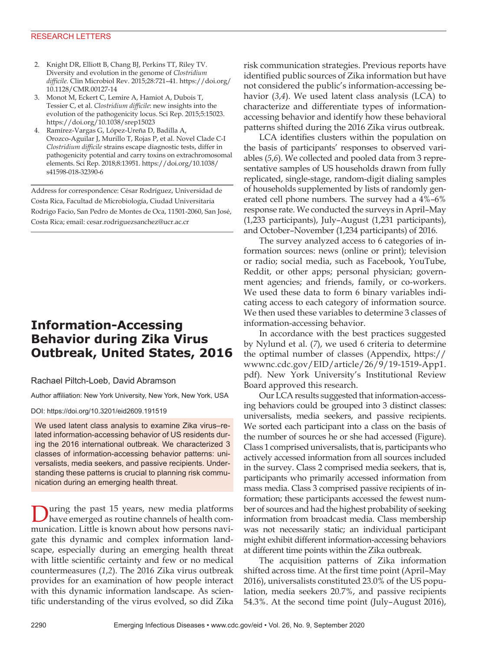## RESEARCH LETTERS

- 2. Knight DR, Elliott B, Chang BJ, Perkins TT, Riley TV. Diversity and evolution in the genome of *Clostridium difficile.* Clin Microbiol Rev. 2015;28:721–41. https://doi.org/ 10.1128/CMR.00127-14
- 3. Monot M, Eckert C, Lemire A, Hamiot A, Dubois T, Tessier C, et al. *Clostridium difficile*: new insights into the evolution of the pathogenicity locus. Sci Rep. 2015;5:15023. https://doi.org/10.1038/srep15023
- 4. Ramírez-Vargas G, López-Ureña D, Badilla A, Orozco-Aguilar J, Murillo T, Rojas P, et al. Novel Clade C-I *Clostridium difficile* strains escape diagnostic tests, differ in pathogenicity potential and carry toxins on extrachromosomal elements. Sci Rep. 2018;8:13951. https://doi.org/10.1038/ s41598-018-32390-6

Address for correspondence: César Rodríguez, Universidad de Costa Rica, Facultad de Microbiología, Ciudad Universitaria Rodrigo Facio, San Pedro de Montes de Oca, 11501-2060, San José, Costa Rica; email: cesar.rodriguezsanchez@ucr.ac.cr

# **Information-Accessing Behavior during Zika Virus Outbreak, United States, 2016**

## Rachael Piltch-Loeb, David Abramson

Author affiliation: New York University, New York, New York, USA

#### DOI: https://doi.org/10.3201/eid2609.191519

We used latent class analysis to examine Zika virus–related information-accessing behavior of US residents during the 2016 international outbreak. We characterized 3 classes of information-accessing behavior patterns: universalists, media seekers, and passive recipients. Understanding these patterns is crucial to planning risk communication during an emerging health threat.

During the past 15 years, new media platforms have emerged as routine channels of health communication. Little is known about how persons navigate this dynamic and complex information landscape, especially during an emerging health threat with little scientific certainty and few or no medical countermeasures (*1*,*2*). The 2016 Zika virus outbreak provides for an examination of how people interact with this dynamic information landscape. As scientific understanding of the virus evolved, so did Zika

risk communication strategies. Previous reports have identified public sources of Zika information but have not considered the public's information-accessing behavior (*3*,*4*). We used latent class analysis (LCA) to characterize and differentiate types of informationaccessing behavior and identify how these behavioral patterns shifted during the 2016 Zika virus outbreak.

LCA identifies clusters within the population on the basis of participants' responses to observed variables (*5*,*6*). We collected and pooled data from 3 representative samples of US households drawn from fully replicated, single-stage, random-digit dialing samples of households supplemented by lists of randomly generated cell phone numbers. The survey had a 4%–6% response rate. We conducted the surveys in April–May (1,233 participants), July–August (1,231 participants), and October–November (1,234 participants) of 2016.

The survey analyzed access to 6 categories of information sources: news (online or print); television or radio; social media, such as Facebook, YouTube, Reddit, or other apps; personal physician; government agencies; and friends, family, or co-workers. We used these data to form 6 binary variables indicating access to each category of information source. We then used these variables to determine 3 classes of information-accessing behavior.

In accordance with the best practices suggested by Nylund et al. (*7*), we used 6 criteria to determine the optimal number of classes (Appendix, https:// wwwnc.cdc.gov/EID/article/26/9/19-1519-App1. pdf). New York University's Institutional Review Board approved this research.

Our LCA results suggested that information-accessing behaviors could be grouped into 3 distinct classes: universalists, media seekers, and passive recipients. We sorted each participant into a class on the basis of the number of sources he or she had accessed (Figure). Class 1 comprised universalists, that is, participants who actively accessed information from all sources included in the survey. Class 2 comprised media seekers, that is, participants who primarily accessed information from mass media. Class 3 comprised passive recipients of information; these participants accessed the fewest number of sources and had the highest probability of seeking information from broadcast media. Class membership was not necessarily static; an individual participant might exhibit different information-accessing behaviors at different time points within the Zika outbreak.

The acquisition patterns of Zika information shifted across time. At the first time point (April–May 2016), universalists constituted 23.0% of the US population, media seekers 20.7%, and passive recipients 54.3%. At the second time point (July–August 2016),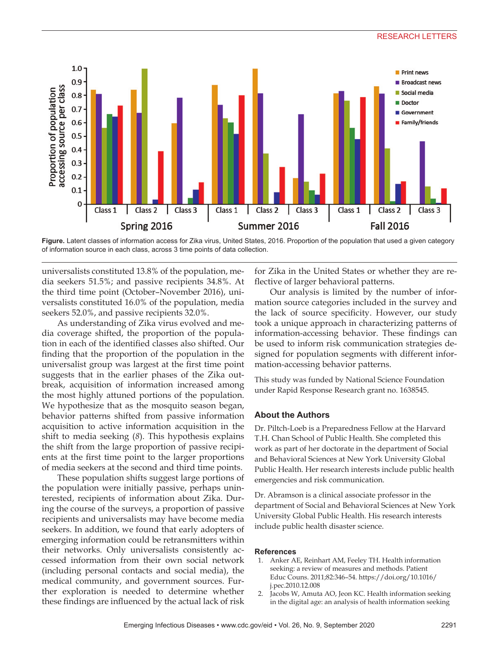

**Figure.** Latent classes of information access for Zika virus, United States, 2016. Proportion of the population that used a given category of information source in each class, across 3 time points of data collection.

universalists constituted 13.8% of the population, media seekers 51.5%; and passive recipients 34.8%. At the third time point (October–November 2016), universalists constituted 16.0% of the population, media seekers 52.0%, and passive recipients 32.0%.

As understanding of Zika virus evolved and media coverage shifted, the proportion of the population in each of the identified classes also shifted. Our finding that the proportion of the population in the universalist group was largest at the first time point suggests that in the earlier phases of the Zika outbreak, acquisition of information increased among the most highly attuned portions of the population. We hypothesize that as the mosquito season began, behavior patterns shifted from passive information acquisition to active information acquisition in the shift to media seeking (*8*). This hypothesis explains the shift from the large proportion of passive recipients at the first time point to the larger proportions of media seekers at the second and third time points.

These population shifts suggest large portions of the population were initially passive, perhaps uninterested, recipients of information about Zika. During the course of the surveys, a proportion of passive recipients and universalists may have become media seekers. In addition, we found that early adopters of emerging information could be retransmitters within their networks. Only universalists consistently accessed information from their own social network (including personal contacts and social media), the medical community, and government sources. Further exploration is needed to determine whether these findings are influenced by the actual lack of risk

for Zika in the United States or whether they are reflective of larger behavioral patterns.

Our analysis is limited by the number of information source categories included in the survey and the lack of source specificity. However, our study took a unique approach in characterizing patterns of information-accessing behavior. These findings can be used to inform risk communication strategies designed for population segments with different information-accessing behavior patterns.

This study was funded by National Science Foundation under Rapid Response Research grant no. 1638545.

# **About the Authors**

Dr. Piltch-Loeb is a Preparedness Fellow at the Harvard T.H. Chan School of Public Health. She completed this work as part of her doctorate in the department of Social and Behavioral Sciences at New York University Global Public Health. Her research interests include public health emergencies and risk communication.

Dr. Abramson is a clinical associate professor in the department of Social and Behavioral Sciences at New York University Global Public Health. His research interests include public health disaster science.

## **References**

- 1. Anker AE, Reinhart AM, Feeley TH. Health information seeking: a review of measures and methods. Patient Educ Couns. 2011;82:346–54. https://doi.org/10.1016/ j.pec.2010.12.008
- 2. Jacobs W, Amuta AO, Jeon KC. Health information seeking in the digital age: an analysis of health information seeking